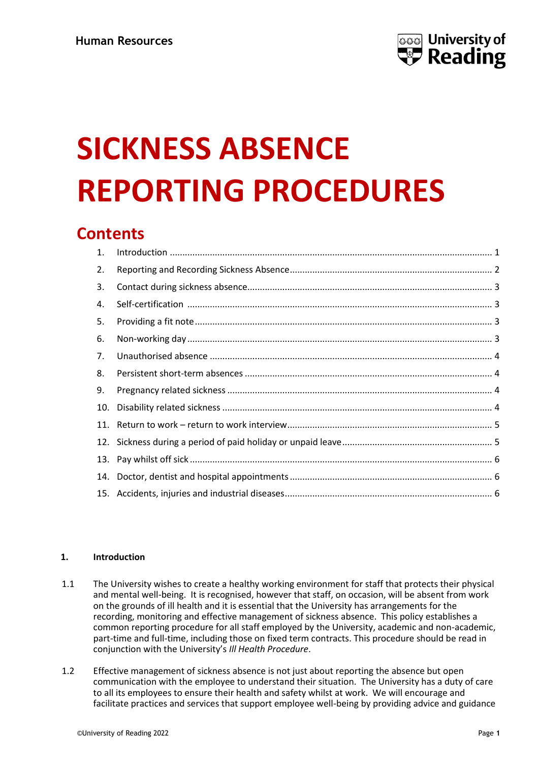

# **SICKNESS ABSENCE REPORTING PROCEDURES**

# **Contents**

# <span id="page-0-0"></span>**1. Introduction**

- 1.1 The University wishes to create a healthy working environment for staff that protects their physical and mental well-being. It is recognised, however that staff, on occasion, will be absent from work on the grounds of ill health and it is essential that the University has arrangements for the recording, monitoring and effective management of sickness absence. This policy establishes a common reporting procedure for all staff employed by the University, academic and non-academic, part-time and full-time, including those on fixed term contracts. This procedure should be read in conjunction with the University's *Ill Health Procedure*.
- 1.2 Effective management of sickness absence is not just about reporting the absence but open communication with the employee to understand their situation. The University has a duty of care to all its employees to ensure their health and safety whilst at work. We will encourage and facilitate practices and services that support employee well-being by providing advice and guidance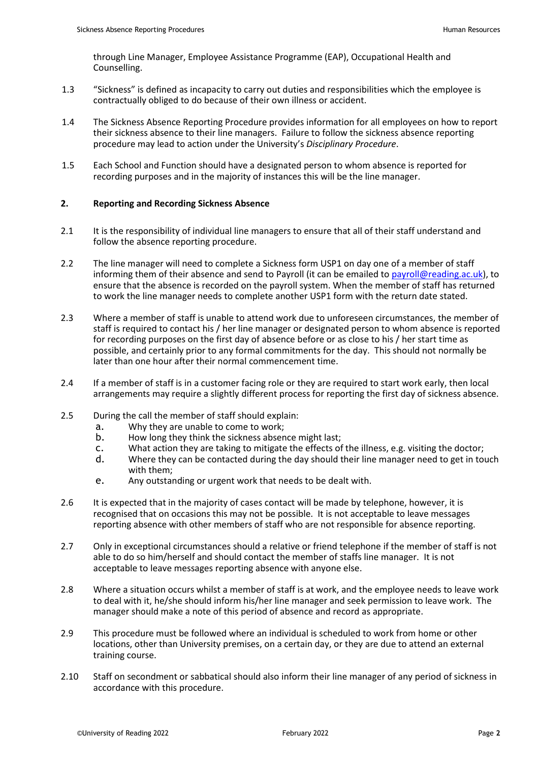through Line Manager, Employee Assistance Programme (EAP), Occupational Health and Counselling.

- 1.3 "Sickness" is defined as incapacity to carry out duties and responsibilities which the employee is contractually obliged to do because of their own illness or accident.
- 1.4 The Sickness Absence Reporting Procedure provides information for all employees on how to report their sickness absence to their line managers. Failure to follow the sickness absence reporting procedure may lead to action under the University's *Disciplinary Procedure*.
- 1.5 Each School and Function should have a designated person to whom absence is reported for recording purposes and in the majority of instances this will be the line manager.

# <span id="page-1-0"></span>**2. Reporting and Recording Sickness Absence**

- 2.1 It is the responsibility of individual line managers to ensure that all of their staff understand and follow the absence reporting procedure.
- 2.2 The line manager will need to complete a Sickness form USP1 on day one of a member of staff informing them of their absence and send to Payroll (it can be emailed t[o payroll@reading.ac.uk\)](mailto:payroll@reading.ac.uk), to ensure that the absence is recorded on the payroll system. When the member of staff has returned to work the line manager needs to complete another USP1 form with the return date stated.
- 2.3 Where a member of staff is unable to attend work due to unforeseen circumstances, the member of staff is required to contact his / her line manager or designated person to whom absence is reported for recording purposes on the first day of absence before or as close to his / her start time as possible, and certainly prior to any formal commitments for the day. This should not normally be later than one hour after their normal commencement time.
- 2.4 If a member of staff is in a customer facing role or they are required to start work early, then local arrangements may require a slightly different process for reporting the first day of sickness absence.
- 2.5 During the call the member of staff should explain:
	- a. Why they are unable to come to work;
	- b. How long they think the sickness absence might last;
	- c. What action they are taking to mitigate the effects of the illness, e.g. visiting the doctor;
	- d. Where they can be contacted during the day should their line manager need to get in touch with them;
	- e. Any outstanding or urgent work that needs to be dealt with.
- 2.6 It is expected that in the majority of cases contact will be made by telephone, however, it is recognised that on occasions this may not be possible. It is not acceptable to leave messages reporting absence with other members of staff who are not responsible for absence reporting.
- 2.7 Only in exceptional circumstances should a relative or friend telephone if the member of staff is not able to do so him/herself and should contact the member of staffs line manager. It is not acceptable to leave messages reporting absence with anyone else.
- 2.8 Where a situation occurs whilst a member of staff is at work, and the employee needs to leave work to deal with it, he/she should inform his/her line manager and seek permission to leave work. The manager should make a note of this period of absence and record as appropriate.
- 2.9 This procedure must be followed where an individual is scheduled to work from home or other locations, other than University premises, on a certain day, or they are due to attend an external training course.
- 2.10 Staff on secondment or sabbatical should also inform their line manager of any period of sickness in accordance with this procedure.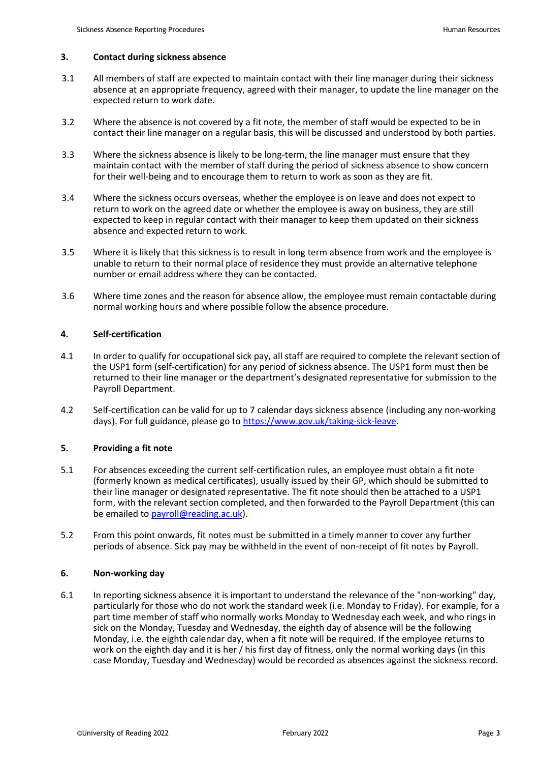# <span id="page-2-0"></span>**3. Contact during sickness absence**

- 3.1 All members of staff are expected to maintain contact with their line manager during their sickness absence at an appropriate frequency, agreed with their manager, to update the line manager on the expected return to work date.
- 3.2 Where the absence is not covered by a fit note, the member of staff would be expected to be in contact their line manager on a regular basis, this will be discussed and understood by both parties.
- 3.3 Where the sickness absence is likely to be long-term, the line manager must ensure that they maintain contact with the member of staff during the period of sickness absence to show concern for their well-being and to encourage them to return to work as soon as they are fit.
- 3.4 Where the sickness occurs overseas, whether the employee is on leave and does not expect to return to work on the agreed date or whether the employee is away on business, they are still expected to keep in regular contact with their manager to keep them updated on their sickness absence and expected return to work.
- 3.5 Where it is likely that this sickness is to result in long term absence from work and the employee is unable to return to their normal place of residence they must provide an alternative telephone number or email address where they can be contacted.
- 3.6 Where time zones and the reason for absence allow, the employee must remain contactable during normal working hours and where possible follow the absence procedure.

# <span id="page-2-1"></span>**4. Self-certification**

- 4.1 In order to qualify for occupational sick pay, all staff are required to complete the relevant section of the USP1 form (self-certification) for any period of sickness absence. The USP1 form must then be returned to their line manager or the department's designated representative for submission to the Payroll Department.
- 4.2 Self-certification can be valid for up to 7 calendar days sickness absence (including any non-working days). For full guidance, please go to [https://www.gov.uk/taking-sick-leave.](https://www.gov.uk/taking-sick-leave)

# <span id="page-2-2"></span>**5. Providing a fit note**

- 5.1 For absences exceeding the current self-certification rules, an employee must obtain a fit note (formerly known as medical certificates), usually issued by their GP, which should be submitted to their line manager or designated representative. The fit note should then be attached to a USP1 form, with the relevant section completed, and then forwarded to the Payroll Department (this can be emailed to [payroll@reading.ac.uk\)](mailto:payroll@reading.ac.uk).
- 5.2 From this point onwards, fit notes must be submitted in a timely manner to cover any further periods of absence. Sick pay may be withheld in the event of non-receipt of fit notes by Payroll.

# <span id="page-2-3"></span>**6. Non-working day**

6.1 In reporting sickness absence it is important to understand the relevance of the "non-working" day, particularly for those who do not work the standard week (i.e. Monday to Friday). For example, for a part time member of staff who normally works Monday to Wednesday each week, and who rings in sick on the Monday, Tuesday and Wednesday, the eighth day of absence will be the following Monday, i.e. the eighth calendar day, when a fit note will be required. If the employee returns to work on the eighth day and it is her / his first day of fitness, only the normal working days (in this case Monday, Tuesday and Wednesday) would be recorded as absences against the sickness record.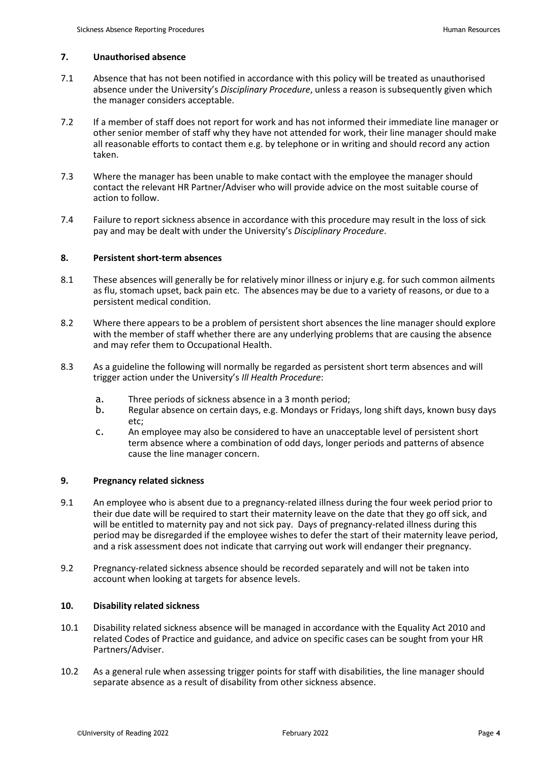#### <span id="page-3-0"></span>**7. Unauthorised absence**

- 7.1 Absence that has not been notified in accordance with this policy will be treated as unauthorised absence under the University's *Disciplinary Procedure*, unless a reason is subsequently given which the manager considers acceptable.
- 7.2 If a member of staff does not report for work and has not informed their immediate line manager or other senior member of staff why they have not attended for work, their line manager should make all reasonable efforts to contact them e.g. by telephone or in writing and should record any action taken.
- 7.3 Where the manager has been unable to make contact with the employee the manager should contact the relevant HR Partner/Adviser who will provide advice on the most suitable course of action to follow.
- 7.4 Failure to report sickness absence in accordance with this procedure may result in the loss of sick pay and may be dealt with under the University's *Disciplinary Procedure*.

#### <span id="page-3-1"></span>**8. Persistent short-term absences**

- 8.1 These absences will generally be for relatively minor illness or injury e.g. for such common ailments as flu, stomach upset, back pain etc. The absences may be due to a variety of reasons, or due to a persistent medical condition.
- 8.2 Where there appears to be a problem of persistent short absences the line manager should explore with the member of staff whether there are any underlying problems that are causing the absence and may refer them to Occupational Health.
- 8.3 As a guideline the following will normally be regarded as persistent short term absences and will trigger action under the University's *Ill Health Procedure*:
	- a. Three periods of sickness absence in a 3 month period;
	- Regular absence on certain days, e.g. Mondays or Fridays, long shift days, known busy days etc;
	- c. An employee may also be considered to have an unacceptable level of persistent short term absence where a combination of odd days, longer periods and patterns of absence cause the line manager concern.

# <span id="page-3-2"></span>**9. Pregnancy related sickness**

- 9.1 An employee who is absent due to a pregnancy-related illness during the four week period prior to their due date will be required to start their maternity leave on the date that they go off sick, and will be entitled to maternity pay and not sick pay. Days of pregnancy-related illness during this period may be disregarded if the employee wishes to defer the start of their maternity leave period, and a risk assessment does not indicate that carrying out work will endanger their pregnancy.
- 9.2 Pregnancy-related sickness absence should be recorded separately and will not be taken into account when looking at targets for absence levels.

#### <span id="page-3-3"></span>**10. Disability related sickness**

- 10.1 Disability related sickness absence will be managed in accordance with the Equality Act 2010 and related Codes of Practice and guidance, and advice on specific cases can be sought from your HR Partners/Adviser.
- 10.2 As a general rule when assessing trigger points for staff with disabilities, the line manager should separate absence as a result of disability from other sickness absence.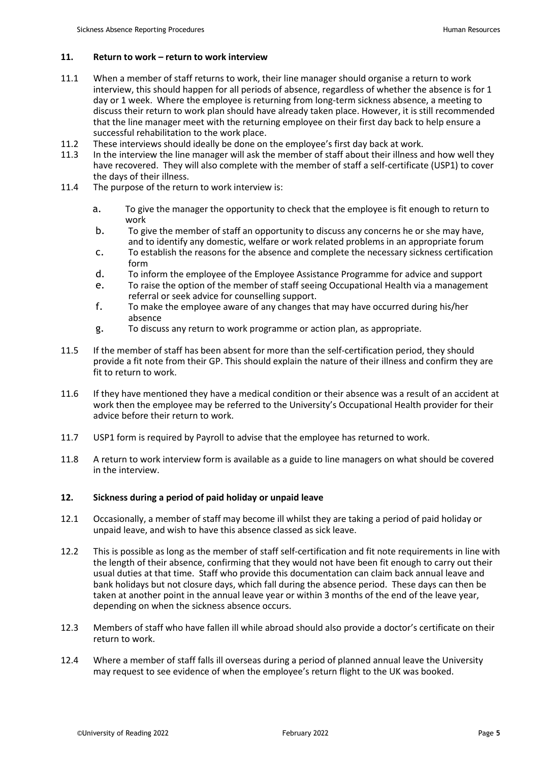# <span id="page-4-0"></span>**11. Return to work – return to work interview**

- 11.1 When a member of staff returns to work, their line manager should organise a return to work interview, this should happen for all periods of absence, regardless of whether the absence is for 1 day or 1 week. Where the employee is returning from long-term sickness absence, a meeting to discuss their return to work plan should have already taken place. However, it is still recommended that the line manager meet with the returning employee on their first day back to help ensure a successful rehabilitation to the work place.
- 11.2 These interviews should ideally be done on the employee's first day back at work.
- 11.3 In the interview the line manager will ask the member of staff about their illness and how well they have recovered. They will also complete with the member of staff a self-certificate (USP1) to cover the days of their illness.
- 11.4 The purpose of the return to work interview is:
	- a. To give the manager the opportunity to check that the employee is fit enough to return to work
	- b. To give the member of staff an opportunity to discuss any concerns he or she may have, and to identify any domestic, welfare or work related problems in an appropriate forum
	- c. To establish the reasons for the absence and complete the necessary sickness certification form
	- d. To inform the employee of the Employee Assistance Programme for advice and support
	- e. To raise the option of the member of staff seeing Occupational Health via a management referral or seek advice for counselling support.
	- f. To make the employee aware of any changes that may have occurred during his/her absence
	- g. To discuss any return to work programme or action plan, as appropriate.
- 11.5 If the member of staff has been absent for more than the self-certification period, they should provide a fit note from their GP. This should explain the nature of their illness and confirm they are fit to return to work.
- 11.6 If they have mentioned they have a medical condition or their absence was a result of an accident at work then the employee may be referred to the University's Occupational Health provider for their advice before their return to work.
- 11.7 USP1 form is required by Payroll to advise that the employee has returned to work.
- 11.8 A return to work interview form is available as a guide to line managers on what should be covered in the interview.

# <span id="page-4-1"></span>**12. Sickness during a period of paid holiday or unpaid leave**

- 12.1 Occasionally, a member of staff may become ill whilst they are taking a period of paid holiday or unpaid leave, and wish to have this absence classed as sick leave.
- 12.2 This is possible as long as the member of staff self-certification and fit note requirements in line with the length of their absence, confirming that they would not have been fit enough to carry out their usual duties at that time. Staff who provide this documentation can claim back annual leave and bank holidays but not closure days, which fall during the absence period. These days can then be taken at another point in the annual leave year or within 3 months of the end of the leave year, depending on when the sickness absence occurs.
- 12.3 Members of staff who have fallen ill while abroad should also provide a doctor's certificate on their return to work.
- 12.4 Where a member of staff falls ill overseas during a period of planned annual leave the University may request to see evidence of when the employee's return flight to the UK was booked.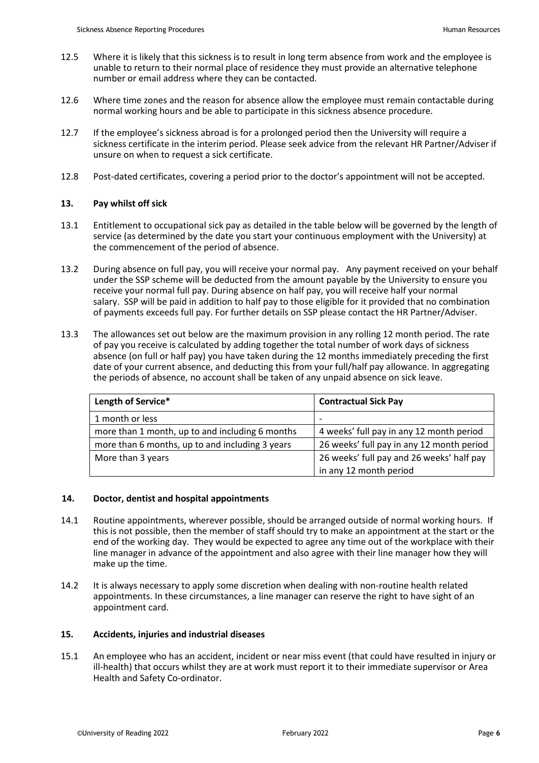- 12.5 Where it is likely that this sickness is to result in long term absence from work and the employee is unable to return to their normal place of residence they must provide an alternative telephone number or email address where they can be contacted.
- 12.6 Where time zones and the reason for absence allow the employee must remain contactable during normal working hours and be able to participate in this sickness absence procedure.
- 12.7 If the employee's sickness abroad is for a prolonged period then the University will require a sickness certificate in the interim period. Please seek advice from the relevant HR Partner/Adviser if unsure on when to request a sick certificate.
- <span id="page-5-0"></span>12.8 Post-dated certificates, covering a period prior to the doctor's appointment will not be accepted.

# **13. Pay whilst off sick**

- 13.1 Entitlement to occupational sick pay as detailed in the table below will be governed by the length of service (as determined by the date you start your continuous employment with the University) at the commencement of the period of absence.
- 13.2 During absence on full pay, you will receive your normal pay. Any payment received on your behalf under the SSP scheme will be deducted from the amount payable by the University to ensure you receive your normal full pay. During absence on half pay, you will receive half your normal salary. SSP will be paid in addition to half pay to those eligible for it provided that no combination of payments exceeds full pay. For further details on SSP please contact the HR Partner/Adviser.
- 13.3 The allowances set out below are the maximum provision in any rolling 12 month period. The rate of pay you receive is calculated by adding together the total number of work days of sickness absence (on full or half pay) you have taken during the 12 months immediately preceding the first date of your current absence, and deducting this from your full/half pay allowance. In aggregating the periods of absence, no account shall be taken of any unpaid absence on sick leave.

| Length of Service*                              | <b>Contractual Sick Pay</b>               |
|-------------------------------------------------|-------------------------------------------|
| 1 month or less                                 | $\overline{\phantom{0}}$                  |
| more than 1 month, up to and including 6 months | 4 weeks' full pay in any 12 month period  |
| more than 6 months, up to and including 3 years | 26 weeks' full pay in any 12 month period |
| More than 3 years                               | 26 weeks' full pay and 26 weeks' half pay |
|                                                 | in any 12 month period                    |

# <span id="page-5-1"></span>**14. Doctor, dentist and hospital appointments**

- 14.1 Routine appointments, wherever possible, should be arranged outside of normal working hours. If this is not possible, then the member of staff should try to make an appointment at the start or the end of the working day. They would be expected to agree any time out of the workplace with their line manager in advance of the appointment and also agree with their line manager how they will make up the time.
- 14.2 It is always necessary to apply some discretion when dealing with non-routine health related appointments. In these circumstances, a line manager can reserve the right to have sight of an appointment card.

# <span id="page-5-2"></span>**15. Accidents, injuries and industrial diseases**

15.1 An employee who has an accident, incident or near miss event (that could have resulted in injury or ill-health) that occurs whilst they are at work must report it to their immediate supervisor or Area Health and Safety Co-ordinator.